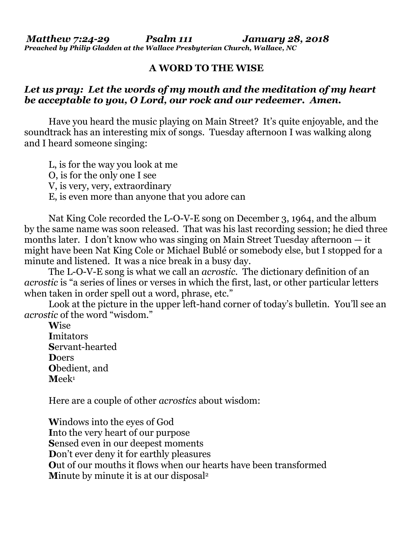## **A WORD TO THE WISE**

## *Let us pray: Let the words of my mouth and the meditation of my heart be acceptable to you, O Lord, our rock and our redeemer. Amen.*

Have you heard the music playing on Main Street? It's quite enjoyable, and the soundtrack has an interesting mix of songs. Tuesday afternoon I was walking along and I heard someone singing:

L, is for the way you look at me

O, is for the only one I see

V, is very, very, extraordinary

E, is even more than anyone that you adore can

Nat King Cole recorded the L-O-V-E song on December 3, 1964, and the album by the same name was soon released. That was his last recording session; he died three months later. I don't know who was singing on Main Street Tuesday afternoon — it might have been Nat King Cole or Michael Bublé or somebody else, but I stopped for a minute and listened. It was a nice break in a busy day.

The L-O-V-E song is what we call an *acrostic*. The dictionary definition of an *acrostic* is "a series of lines or verses in which the first, last, or other particular letters when taken in order spell out a word, phrase, etc."

Look at the picture in the upper left-hand corner of today's bulletin. You'll see an *acrostic* of the word "wisdom."

**W**ise **I**mitators **S**ervant-hearted **D**oers **O**bedient, and **M**eek<sup>1</sup>

Here are a couple of other *acrostics* about wisdom:

**W**indows into the eyes of God **I**nto the very heart of our purpose **S**ensed even in our deepest moments **D**on't ever deny it for earthly pleasures **O**ut of our mouths it flows when our hearts have been transformed **Minute by minute it is at our disposal<sup>2</sup>**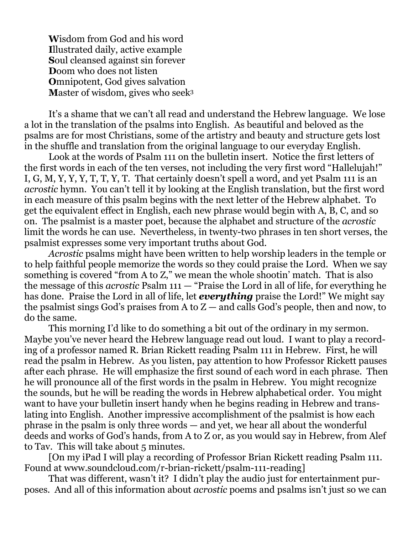**W**isdom from God and his word **I**llustrated daily, active example **S**oul cleansed against sin forever **D**oom who does not listen **O**mnipotent, God gives salvation **M**aster of wisdom, gives who seek<sup>3</sup>

It's a shame that we can't all read and understand the Hebrew language. We lose a lot in the translation of the psalms into English. As beautiful and beloved as the psalms are for most Christians, some of the artistry and beauty and structure gets lost in the shuffle and translation from the original language to our everyday English.

Look at the words of Psalm 111 on the bulletin insert. Notice the first letters of the first words in each of the ten verses, not including the very first word "Hallelujah!" I, G, M, Y, Y, Y, T, T, Y, T. That certainly doesn't spell a word, and yet Psalm 111 is an *acrostic* hymn. You can't tell it by looking at the English translation, but the first word in each measure of this psalm begins with the next letter of the Hebrew alphabet. To get the equivalent effect in English, each new phrase would begin with A, B, C, and so on. The psalmist is a master poet, because the alphabet and structure of the *acrostic* limit the words he can use. Nevertheless, in twenty-two phrases in ten short verses, the psalmist expresses some very important truths about God.

*Acrostic* psalms might have been written to help worship leaders in the temple or to help faithful people memorize the words so they could praise the Lord. When we say something is covered "from A to Z," we mean the whole shootin' match. That is also the message of this *acrostic* Psalm 111 — "Praise the Lord in all of life, for everything he has done. Praise the Lord in all of life, let *everything* praise the Lord!" We might say the psalmist sings God's praises from A to  $Z$  — and calls God's people, then and now, to do the same.

This morning I'd like to do something a bit out of the ordinary in my sermon. Maybe you've never heard the Hebrew language read out loud. I want to play a recording of a professor named R. Brian Rickett reading Psalm 111 in Hebrew. First, he will read the psalm in Hebrew. As you listen, pay attention to how Professor Rickett pauses after each phrase. He will emphasize the first sound of each word in each phrase. Then he will pronounce all of the first words in the psalm in Hebrew. You might recognize the sounds, but he will be reading the words in Hebrew alphabetical order. You might want to have your bulletin insert handy when he begins reading in Hebrew and translating into English. Another impressive accomplishment of the psalmist is how each phrase in the psalm is only three words — and yet, we hear all about the wonderful deeds and works of God's hands, from A to Z or, as you would say in Hebrew, from Alef to Tav. This will take about 5 minutes.

[On my iPad I will play a recording of Professor Brian Rickett reading Psalm 111. Found at [www.soundcloud.com/r-brian-rickett/psalm-](http://www.soundcloud.com/r-brian-rickett/psalm)111-reading]

That was different, wasn't it? I didn't play the audio just for entertainment purposes. And all of this information about *acrostic* poems and psalms isn't just so we can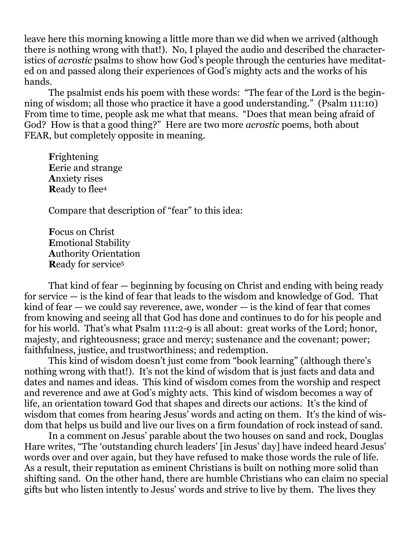leave here this morning knowing a little more than we did when we arrived (although there is nothing wrong with that!). No, I played the audio and described the characteristics of *acrostic* psalms to show how God's people through the centuries have meditated on and passed along their experiences of God's mighty acts and the works of his hands.

The psalmist ends his poem with these words: "The fear of the Lord is the beginning of wisdom; all those who practice it have a good understanding." (Psalm 111:10) From time to time, people ask me what that means. "Does that mean being afraid of God? How is that a good thing?" Here are two more *acrostic* poems, both about FEAR, but completely opposite in meaning.

**F**rightening **E**erie and strange **A**nxiety rises **R**eady to flee<sup>4</sup>

Compare that description of "fear" to this idea:

**F**ocus on Christ **E**motional Stability **A**uthority Orientation **R**eady for service<sup>5</sup>

That kind of fear — beginning by focusing on Christ and ending with being ready for service — is the kind of fear that leads to the wisdom and knowledge of God. That  $k$ ind of fear — we could say reverence, awe, wonder — is the kind of fear that comes from knowing and seeing all that God has done and continues to do for his people and for his world. That's what Psalm 111:2-9 is all about: great works of the Lord; honor, majesty, and righteousness; grace and mercy; sustenance and the covenant; power; faithfulness, justice, and trustworthiness; and redemption.

This kind of wisdom doesn't just come from "book learning" (although there's nothing wrong with that!). It's not the kind of wisdom that is just facts and data and dates and names and ideas. This kind of wisdom comes from the worship and respect and reverence and awe at God's mighty acts. This kind of wisdom becomes a way of life, an orientation toward God that shapes and directs our actions. It's the kind of wisdom that comes from hearing Jesus' words and acting on them. It's the kind of wisdom that helps us build and live our lives on a firm foundation of rock instead of sand.

In a comment on Jesus' parable about the two houses on sand and rock, Douglas Hare writes, "The 'outstanding church leaders' [in Jesus' day] have indeed heard Jesus' words over and over again, but they have refused to make those words the rule of life. As a result, their reputation as eminent Christians is built on nothing more solid than shifting sand. On the other hand, there are humble Christians who can claim no special gifts but who listen intently to Jesus' words and strive to live by them. The lives they